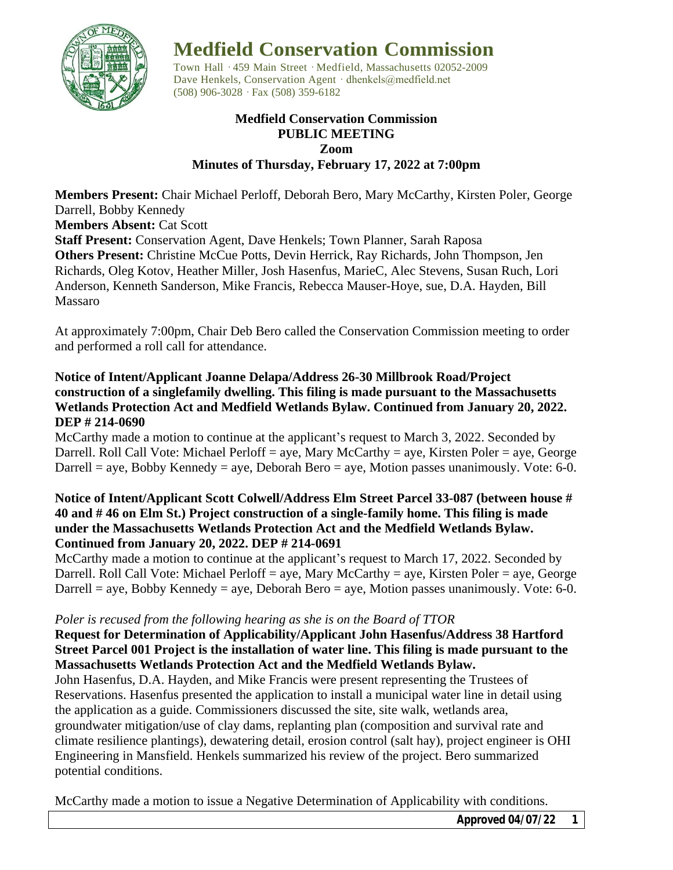

# **Medfield Conservation Commission**

Town Hall · 459 Main Street · Medfield, Massachusetts 02052-2009 Dave Henkels, Conservation Agent · dhenkels@medfield.net (508) 906-3028 ·Fax (508) 359-6182

#### **Medfield Conservation Commission PUBLIC MEETING Zoom Minutes of Thursday, February 17, 2022 at 7:00pm**

**Members Present:** Chair Michael Perloff, Deborah Bero, Mary McCarthy, Kirsten Poler, George Darrell, Bobby Kennedy

**Members Absent:** Cat Scott

**Staff Present:** Conservation Agent, Dave Henkels; Town Planner, Sarah Raposa **Others Present:** Christine McCue Potts, Devin Herrick, Ray Richards, John Thompson, Jen Richards, Oleg Kotov, Heather Miller, Josh Hasenfus, MarieC, Alec Stevens, Susan Ruch, Lori Anderson, Kenneth Sanderson, Mike Francis, Rebecca Mauser-Hoye, sue, D.A. Hayden, Bill Massaro

At approximately 7:00pm, Chair Deb Bero called the Conservation Commission meeting to order and performed a roll call for attendance.

## **Notice of Intent/Applicant Joanne Delapa/Address 26-30 Millbrook Road/Project construction of a singlefamily dwelling. This filing is made pursuant to the Massachusetts Wetlands Protection Act and Medfield Wetlands Bylaw. Continued from January 20, 2022. DEP # 214-0690**

McCarthy made a motion to continue at the applicant's request to March 3, 2022. Seconded by Darrell. Roll Call Vote: Michael Perloff = aye, Mary McCarthy = aye, Kirsten Poler = aye, George Darrell = aye, Bobby Kennedy = aye, Deborah Bero = aye, Motion passes unanimously. Vote: 6-0.

## **Notice of Intent/Applicant Scott Colwell/Address Elm Street Parcel 33-087 (between house # 40 and # 46 on Elm St.) Project construction of a single-family home. This filing is made under the Massachusetts Wetlands Protection Act and the Medfield Wetlands Bylaw. Continued from January 20, 2022. DEP # 214-0691**

McCarthy made a motion to continue at the applicant's request to March 17, 2022. Seconded by Darrell. Roll Call Vote: Michael Perloff = aye, Mary McCarthy = aye, Kirsten Poler = aye, George Darrell = aye, Bobby Kennedy = aye, Deborah Bero = aye, Motion passes unanimously. Vote: 6-0.

## *Poler is recused from the following hearing as she is on the Board of TTOR*

## **Request for Determination of Applicability/Applicant John Hasenfus/Address 38 Hartford Street Parcel 001 Project is the installation of water line. This filing is made pursuant to the Massachusetts Wetlands Protection Act and the Medfield Wetlands Bylaw.**

John Hasenfus, D.A. Hayden, and Mike Francis were present representing the Trustees of Reservations. Hasenfus presented the application to install a municipal water line in detail using the application as a guide. Commissioners discussed the site, site walk, wetlands area, groundwater mitigation/use of clay dams, replanting plan (composition and survival rate and climate resilience plantings), dewatering detail, erosion control (salt hay), project engineer is OHI Engineering in Mansfield. Henkels summarized his review of the project. Bero summarized potential conditions.

McCarthy made a motion to issue a Negative Determination of Applicability with conditions.

*Approved 04/07/22 1*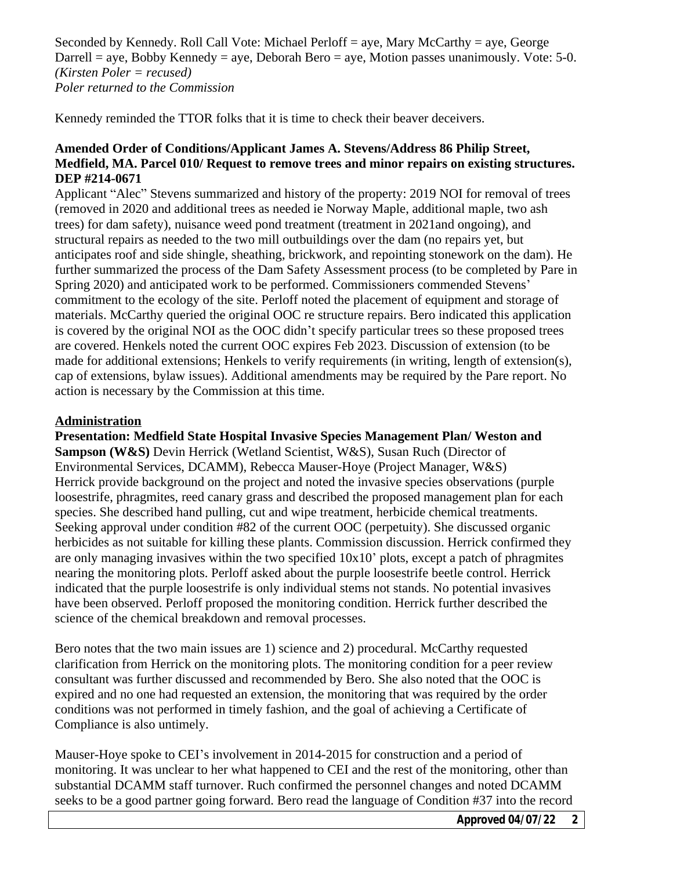Seconded by Kennedy. Roll Call Vote: Michael Perloff = aye, Mary McCarthy = aye, George Darrell = aye, Bobby Kennedy = aye, Deborah Bero = aye, Motion passes unanimously. Vote: 5-0. *(Kirsten Poler = recused) Poler returned to the Commission*

Kennedy reminded the TTOR folks that it is time to check their beaver deceivers.

## **Amended Order of Conditions/Applicant James A. Stevens/Address 86 Philip Street, Medfield, MA. Parcel 010/ Request to remove trees and minor repairs on existing structures. DEP #214-0671**

Applicant "Alec" Stevens summarized and history of the property: 2019 NOI for removal of trees (removed in 2020 and additional trees as needed ie Norway Maple, additional maple, two ash trees) for dam safety), nuisance weed pond treatment (treatment in 2021and ongoing), and structural repairs as needed to the two mill outbuildings over the dam (no repairs yet, but anticipates roof and side shingle, sheathing, brickwork, and repointing stonework on the dam). He further summarized the process of the Dam Safety Assessment process (to be completed by Pare in Spring 2020) and anticipated work to be performed. Commissioners commended Stevens' commitment to the ecology of the site. Perloff noted the placement of equipment and storage of materials. McCarthy queried the original OOC re structure repairs. Bero indicated this application is covered by the original NOI as the OOC didn't specify particular trees so these proposed trees are covered. Henkels noted the current OOC expires Feb 2023. Discussion of extension (to be made for additional extensions; Henkels to verify requirements (in writing, length of extension(s), cap of extensions, bylaw issues). Additional amendments may be required by the Pare report. No action is necessary by the Commission at this time.

## **Administration**

**Presentation: Medfield State Hospital Invasive Species Management Plan/ Weston and Sampson (W&S)** Devin Herrick (Wetland Scientist, W&S), Susan Ruch (Director of Environmental Services, DCAMM), Rebecca Mauser-Hoye (Project Manager, W&S) Herrick provide background on the project and noted the invasive species observations (purple loosestrife, phragmites, reed canary grass and described the proposed management plan for each species. She described hand pulling, cut and wipe treatment, herbicide chemical treatments. Seeking approval under condition #82 of the current OOC (perpetuity). She discussed organic herbicides as not suitable for killing these plants. Commission discussion. Herrick confirmed they are only managing invasives within the two specified  $10x10'$  plots, except a patch of phragmites nearing the monitoring plots. Perloff asked about the purple loosestrife beetle control. Herrick indicated that the purple loosestrife is only individual stems not stands. No potential invasives have been observed. Perloff proposed the monitoring condition. Herrick further described the science of the chemical breakdown and removal processes.

Bero notes that the two main issues are 1) science and 2) procedural. McCarthy requested clarification from Herrick on the monitoring plots. The monitoring condition for a peer review consultant was further discussed and recommended by Bero. She also noted that the OOC is expired and no one had requested an extension, the monitoring that was required by the order conditions was not performed in timely fashion, and the goal of achieving a Certificate of Compliance is also untimely.

Mauser-Hoye spoke to CEI's involvement in 2014-2015 for construction and a period of monitoring. It was unclear to her what happened to CEI and the rest of the monitoring, other than substantial DCAMM staff turnover. Ruch confirmed the personnel changes and noted DCAMM seeks to be a good partner going forward. Bero read the language of Condition #37 into the record